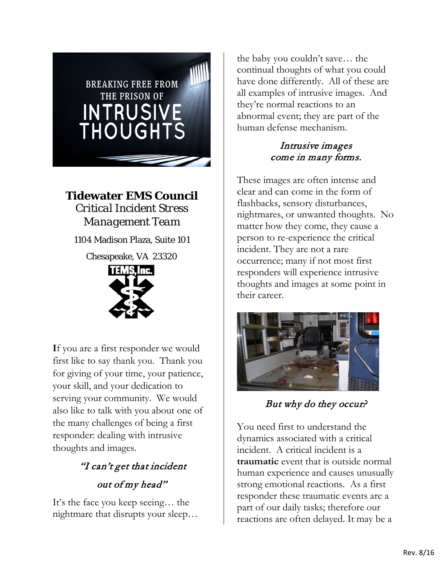

**Tidewater EMS Council**  *Critical Incident Stress Management Team*

1104 Madison Plaza, Suite 101

Chesapeake, VA 23320



**I**f you are a first responder we would first like to say thank you. Thank you for giving of your time, your patience, your skill, and your dedication to serving your community. We would also like to talk with you about one of the many challenges of being a first responder: dealing with intrusive thoughts and images.

# "I can't get that incident out of my head"

 It's the face you keep seeing… the nightmare that disrupts your sleep…

 continual thoughts of what you could the baby you couldn't save… the have done differently. All of these are all examples of intrusive images. And they're normal reactions to an abnormal event; they are part of the human defense mechanism.

# Intrusive images come in many forms.

 clear and can come in the form of These images are often intense and flashbacks, sensory disturbances, nightmares, or unwanted thoughts. No matter how they come, they cause a person to re-experience the critical incident. They are not a rare occurrence; many if not most first responders will experience intrusive thoughts and images at some point in their career.



But why do they occur?

 incident. A critical incident is a **traumatic** event that is outside normal strong emotional reactions. As a first You need first to understand the dynamics associated with a critical human experience and causes unusually responder these traumatic events are a part of our daily tasks; therefore our reactions are often delayed. It may be a